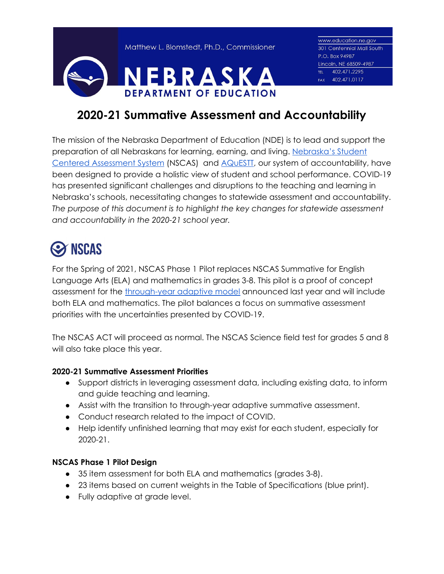Matthew L. Blomstedt, Ph.D., Commissioner



www.education.ne.gov 301 Centennial Mall South P.O. Box 94987 Lincoln, NE 68509-4987 TEL 402.471.2295 FAX 402.471.0117

### **2020-21 Summative Assessment and Accountability**

The mission of the Nebraska Department of Education (NDE) is to lead and support the preparation of all Nebraskans for learning, earning, and living. [Nebraska's](https://www.education.ne.gov/assessment/) Student Centered [Assessment](https://www.education.ne.gov/assessment/) System (NSCAS) and AQUESTI, our system of accountability, have been designed to provide a holistic view of student and school performance. COVID-19 has presented significant challenges and disruptions to the teaching and learning in Nebraska's schools, necessitating changes to statewide assessment and accountability. *The purpose of this document is to highlight the key changes for statewide assessment and accountability in the 2020-21 school year.*

# **S NSCAS**

For the Spring of 2021, NSCAS Phase 1 Pilot replaces NSCAS Summative for English Language Arts (ELA) and mathematics in grades 3-8. This pilot is a proof of concept assessment for the [through-year](https://www.education.ne.gov/assessment/nscas-innovations/) adaptive model announced last year and will include both ELA and mathematics. The pilot balances a focus on summative assessment priorities with the uncertainties presented by COVID-19.

The NSCAS ACT will proceed as normal. The NSCAS Science field test for grades 5 and 8 will also take place this year.

#### **2020-21 Summative Assessment Priorities**

- Support districts in leveraging assessment data, including existing data, to inform and guide teaching and learning.
- Assist with the transition to through-year adaptive summative assessment.
- Conduct research related to the impact of COVID.
- Help identify unfinished learning that may exist for each student, especially for 2020-21.

#### **NSCAS Phase 1 Pilot Design**

- 35 item assessment for both ELA and mathematics (grades 3-8).
- 23 items based on current weights in the Table of Specifications (blue print).
- Fully adaptive at grade level.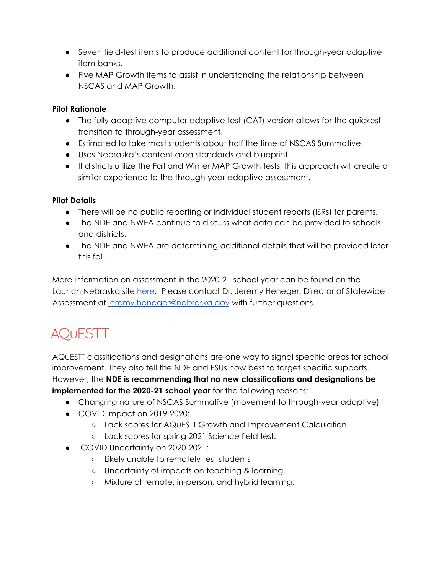- Seven field-test items to produce additional content for through-year adaptive item banks.
- Five MAP Growth items to assist in understanding the relationship between NSCAS and MAP Growth.

#### **Pilot Rationale**

- The fully adaptive computer adaptive test (CAT) version allows for the quickest transition to through-year assessment.
- Estimated to take most students about half the time of NSCAS Summative.
- Uses Nebraska's content area standards and blueprint.
- If districts utilize the Fall and Winter MAP Growth tests, this approach will create a similar experience to the through-year adaptive assessment.

#### **Pilot Details**

- There will be no public reporting or individual student reports (ISRs) for parents.
- The NDE and NWEA continue to discuss what data can be provided to schools and districts.
- The NDE and NWEA are determining additional details that will be provided later this fall.

More information on assessment in the 2020-21 school year can be found on the Launch Nebraska site [here.](https://www.launchne.com/wp-content/uploads/2020/07/Guidance-for-Assessment_7.23.2020.docx) Please contact Dr. Jeremy Heneger, Director of Statewide Assessment at [jeremy.heneger@nebraska.gov](mailto:jeremy.heneger@nebraska.gov) with further questions.

## **AQUESTT**

AQuESTT classifications and designations are one way to signal specific areas for school improvement. They also tell the NDE and ESUs how best to target specific supports. However, the **NDE is recommending that no new classifications and designations be implemented for the 2020-21 school year** for the following reasons:

- Changing nature of NSCAS Summative (movement to through-year adaptive)
- COVID impact on 2019-2020:
	- Lack scores for AQuESTT Growth and Improvement Calculation
	- Lack scores for spring 2021 Science field test.
- COVID Uncertainty on 2020-2021:
	- Likely unable to remotely test students
	- Uncertainty of impacts on teaching & learning.
	- Mixture of remote, in-person, and hybrid learning.